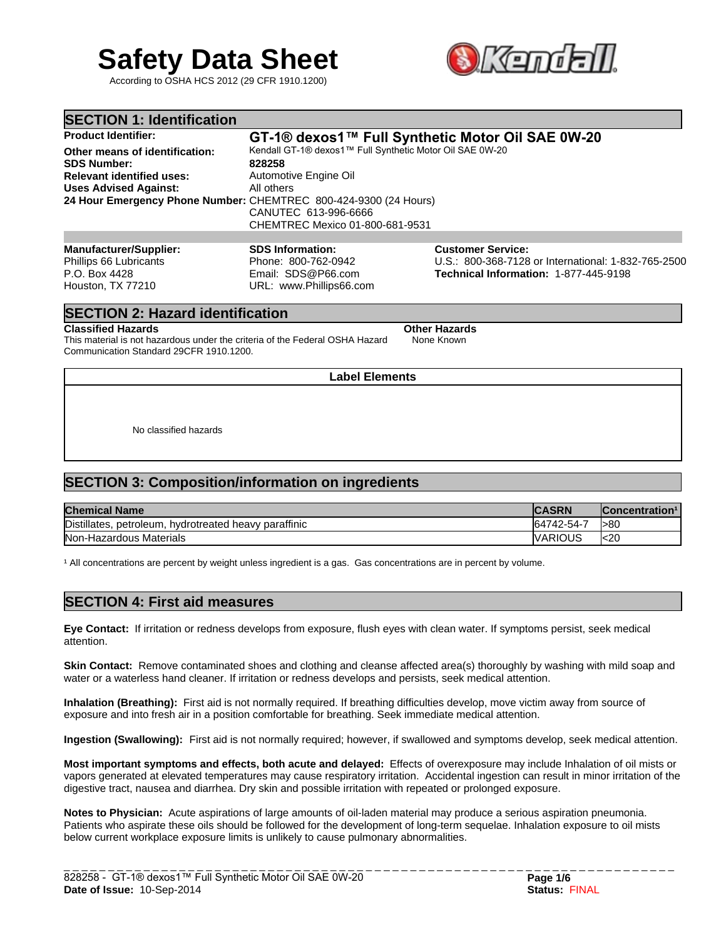# **Safety Data Sheet**

According to OSHA HCS 2012 (29 CFR 1910.1200)



| <b>SECTION 1: Identification</b>                                                                                         |                                                                                                                                                                                                                                          |                                                                                                                          |  |  |
|--------------------------------------------------------------------------------------------------------------------------|------------------------------------------------------------------------------------------------------------------------------------------------------------------------------------------------------------------------------------------|--------------------------------------------------------------------------------------------------------------------------|--|--|
| <b>Product Identifier:</b>                                                                                               | GT-1® dexos1™ Full Synthetic Motor Oil SAE 0W-20                                                                                                                                                                                         |                                                                                                                          |  |  |
| Other means of identification:<br><b>SDS Number:</b><br><b>Relevant identified uses:</b><br><b>Uses Advised Against:</b> | Kendall GT-1® dexos1™ Full Synthetic Motor Oil SAE 0W-20<br>828258<br>Automotive Engine Oil<br>All others<br>24 Hour Emergency Phone Number: CHEMTREC 800-424-9300 (24 Hours)<br>CANUTEC 613-996-6666<br>CHEMTREC Mexico 01-800-681-9531 |                                                                                                                          |  |  |
|                                                                                                                          |                                                                                                                                                                                                                                          |                                                                                                                          |  |  |
| <b>Manufacturer/Supplier:</b><br>Phillips 66 Lubricants<br>P.O. Box 4428<br>Houston, TX 77210                            | <b>SDS Information:</b><br>Phone: 800-762-0942<br>Email: SDS@P66.com<br>URL: www.Phillips66.com                                                                                                                                          | <b>Customer Service:</b><br>U.S.: 800-368-7128 or International: 1-832-765-2500<br>Technical Information: 1-877-445-9198 |  |  |

## **SECTION 2: Hazard identification**

#### **Classified Hazards Classified Hazards Other Hazards**

This material is not hazardous under the criteria of the Federal OSHA Hazard Communication Standard 29CFR 1910.1200.

**Label Elements**

None Known

No classified hazards

# **SECTION 3: Composition/information on ingredients**

| <b>Chemical Name</b>                                        | <b>CASRN</b>   | Concentration <sup>1</sup> |
|-------------------------------------------------------------|----------------|----------------------------|
| Distillates,<br>heavy paraffinic<br>petroleum, hydrotreated | 64742-54-7     | l>80                       |
| Non-Hazardous Materials                                     | <b>VARIOUS</b> | k20                        |

<sup>1</sup> All concentrations are percent by weight unless ingredient is a gas. Gas concentrations are in percent by volume.

## **SECTION 4: First aid measures**

**Eye Contact:** If irritation or redness develops from exposure, flush eyes with clean water. If symptoms persist, seek medical attention.

**Skin Contact:** Remove contaminated shoes and clothing and cleanse affected area(s) thoroughly by washing with mild soap and water or a waterless hand cleaner. If irritation or redness develops and persists, seek medical attention.

**Inhalation (Breathing):** First aid is not normally required. If breathing difficulties develop, move victim away from source of exposure and into fresh air in a position comfortable for breathing. Seek immediate medical attention.

**Ingestion (Swallowing):** First aid is not normally required; however, if swallowed and symptoms develop, seek medical attention.

**Most important symptoms and effects, both acute and delayed:** Effects of overexposure may include Inhalation of oil mists or vapors generated at elevated temperatures may cause respiratory irritation. Accidental ingestion can result in minor irritation of the digestive tract, nausea and diarrhea. Dry skin and possible irritation with repeated or prolonged exposure.

**Notes to Physician:** Acute aspirations of large amounts of oil-laden material may produce a serious aspiration pneumonia. Patients who aspirate these oils should be followed for the development of long-term sequelae. Inhalation exposure to oil mists below current workplace exposure limits is unlikely to cause pulmonary abnormalities.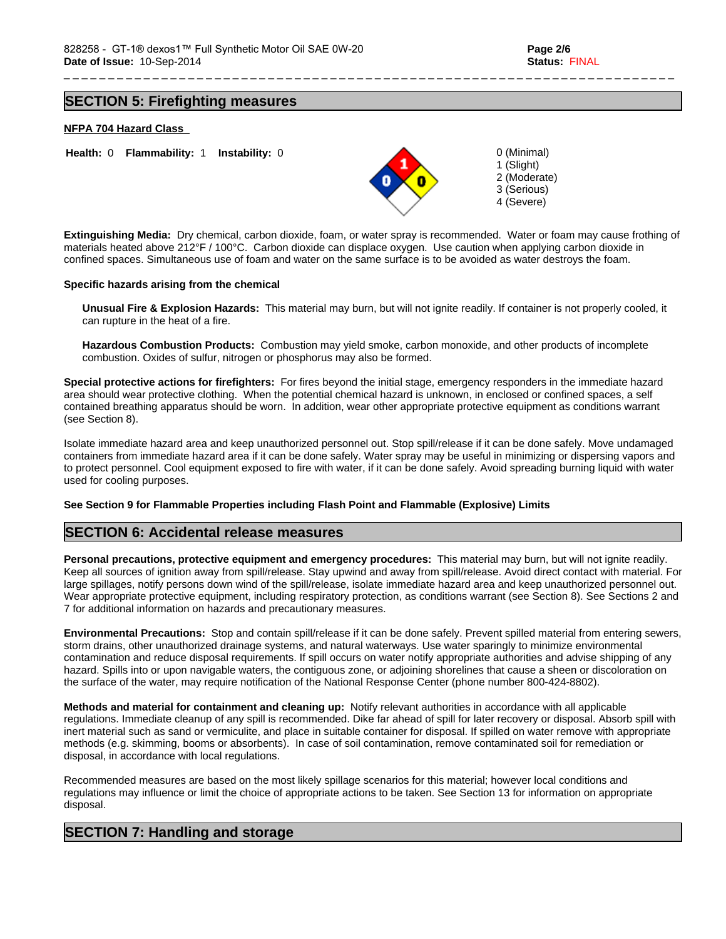1 (Slight) 2 (Moderate) 3 (Serious) 4 (Severe)

## **SECTION 5: Firefighting measures**

## **NFPA 704 Hazard Class**



**Extinguishing Media:** Dry chemical, carbon dioxide, foam, or water spray is recommended. Water or foam may cause frothing of materials heated above 212°F / 100°C. Carbon dioxide can displace oxygen. Use caution when applying carbon dioxide in confined spaces. Simultaneous use of foam and water on the same surface is to be avoided as water destroys the foam.

#### **Specific hazards arising from the chemical**

**Unusual Fire & Explosion Hazards:** This material may burn, but will not ignite readily. If container is not properly cooled, it can rupture in the heat of a fire.

**Hazardous Combustion Products:** Combustion may yield smoke, carbon monoxide, and other products of incomplete combustion. Oxides of sulfur, nitrogen or phosphorus may also be formed.

**Special protective actions for firefighters:** For fires beyond the initial stage, emergency responders in the immediate hazard area should wear protective clothing. When the potential chemical hazard is unknown, in enclosed or confined spaces, a self contained breathing apparatus should be worn. In addition, wear other appropriate protective equipment as conditions warrant (see Section 8).

Isolate immediate hazard area and keep unauthorized personnel out. Stop spill/release if it can be done safely. Move undamaged containers from immediate hazard area if it can be done safely. Water spray may be useful in minimizing or dispersing vapors and to protect personnel. Cool equipment exposed to fire with water, if it can be done safely. Avoid spreading burning liquid with water used for cooling purposes.

#### **See Section 9 for Flammable Properties including Flash Point and Flammable (Explosive) Limits**

## **SECTION 6: Accidental release measures**

**Personal precautions, protective equipment and emergency procedures:** This material may burn, but will not ignite readily. Keep all sources of ignition away from spill/release. Stay upwind and away from spill/release. Avoid direct contact with material. For large spillages, notify persons down wind of the spill/release, isolate immediate hazard area and keep unauthorized personnel out. Wear appropriate protective equipment, including respiratory protection, as conditions warrant (see Section 8). See Sections 2 and 7 for additional information on hazards and precautionary measures.

**Environmental Precautions:** Stop and contain spill/release if it can be done safely. Prevent spilled material from entering sewers, storm drains, other unauthorized drainage systems, and natural waterways. Use water sparingly to minimize environmental contamination and reduce disposal requirements. If spill occurs on water notify appropriate authorities and advise shipping of any hazard. Spills into or upon navigable waters, the contiguous zone, or adjoining shorelines that cause a sheen or discoloration on the surface of the water, may require notification of the National Response Center (phone number 800-424-8802).

**Methods and material for containment and cleaning up:** Notify relevant authorities in accordance with all applicable regulations. Immediate cleanup of any spill is recommended. Dike far ahead of spill for later recovery or disposal. Absorb spill with inert material such as sand or vermiculite, and place in suitable container for disposal. If spilled on water remove with appropriate methods (e.g. skimming, booms or absorbents). In case of soil contamination, remove contaminated soil for remediation or disposal, in accordance with local regulations.

Recommended measures are based on the most likely spillage scenarios for this material; however local conditions and regulations may influence or limit the choice of appropriate actions to be taken. See Section 13 for information on appropriate disposal.

## **SECTION 7: Handling and storage**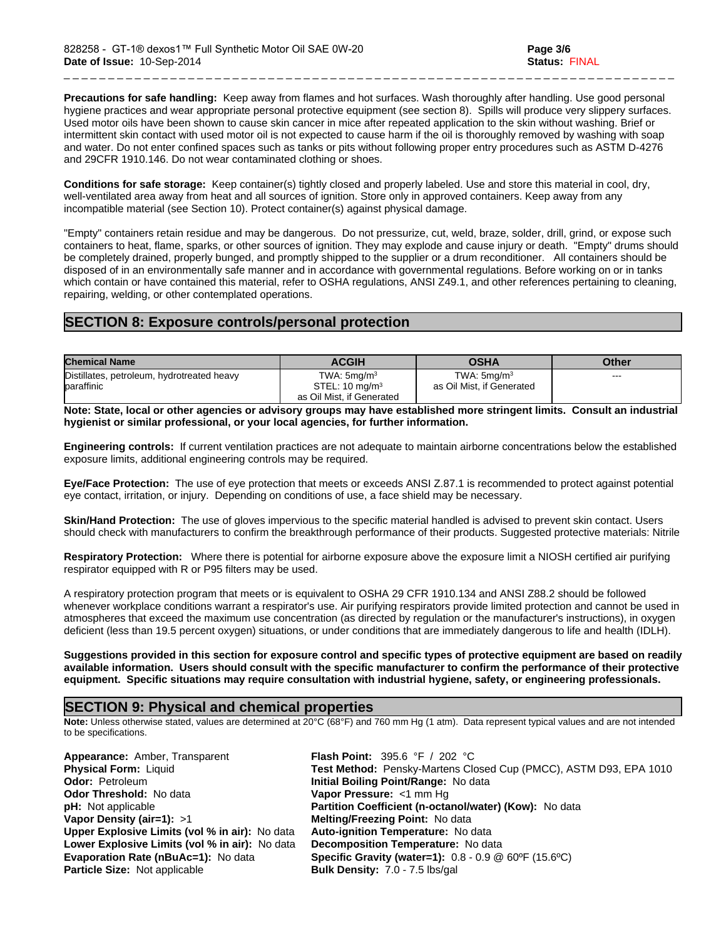**Precautions for safe handling:** Keep away from flames and hot surfaces. Wash thoroughly after handling. Use good personal hygiene practices and wear appropriate personal protective equipment (see section 8). Spills will produce very slippery surfaces. Used motor oils have been shown to cause skin cancer in mice after repeated application to the skin without washing. Brief or intermittent skin contact with used motor oil is not expected to cause harm if the oil is thoroughly removed by washing with soap and water. Do not enter confined spaces such as tanks or pits without following proper entry procedures such as ASTM D-4276 and 29CFR 1910.146. Do not wear contaminated clothing or shoes.

**Conditions for safe storage:** Keep container(s) tightly closed and properly labeled. Use and store this material in cool, dry, well-ventilated area away from heat and all sources of ignition. Store only in approved containers. Keep away from any incompatible material (see Section 10). Protect container(s) against physical damage.

"Empty" containers retain residue and may be dangerous. Do not pressurize, cut, weld, braze, solder, drill, grind, or expose such containers to heat, flame, sparks, or other sources of ignition. They may explode and cause injury or death. "Empty" drums should be completely drained, properly bunged, and promptly shipped to the supplier or a drum reconditioner. All containers should be disposed of in an environmentally safe manner and in accordance with governmental regulations. Before working on or in tanks which contain or have contained this material, refer to OSHA regulations, ANSI Z49.1, and other references pertaining to cleaning, repairing, welding, or other contemplated operations.

# **SECTION 8: Exposure controls/personal protection**

| <b>Chemical Name</b>                                     | <b>ACGIH</b>                                                                | <b>OSHA</b>                                    | Other |
|----------------------------------------------------------|-----------------------------------------------------------------------------|------------------------------------------------|-------|
| Distillates, petroleum, hydrotreated heavy<br>baraffinic | TWA: $5$ mg/m $3$<br>STEL: $10 \text{ mg/m}^3$<br>as Oil Mist, if Generated | TWA: $5$ ma/m $3$<br>as Oil Mist, if Generated | ---   |

**Note: State, local or other agencies or advisory groups may have established more stringent limits. Consult an industrial hygienist or similar professional, or your local agencies, for further information.**

**Engineering controls:** If current ventilation practices are not adequate to maintain airborne concentrations below the established exposure limits, additional engineering controls may be required.

**Eye/Face Protection:** The use of eye protection that meets or exceeds ANSI Z.87.1 is recommended to protect against potential eye contact, irritation, or injury. Depending on conditions of use, a face shield may be necessary.

**Skin/Hand Protection:** The use of gloves impervious to the specific material handled is advised to prevent skin contact. Users should check with manufacturers to confirm the breakthrough performance of their products. Suggested protective materials: Nitrile

**Respiratory Protection:** Where there is potential for airborne exposure above the exposure limit a NIOSH certified air purifying respirator equipped with R or P95 filters may be used.

A respiratory protection program that meets or is equivalent to OSHA 29 CFR 1910.134 and ANSI Z88.2 should be followed whenever workplace conditions warrant a respirator's use. Air purifying respirators provide limited protection and cannot be used in atmospheres that exceed the maximum use concentration (as directed by regulation or the manufacturer's instructions), in oxygen deficient (less than 19.5 percent oxygen) situations, or under conditions that are immediately dangerous to life and health (IDLH).

**Suggestions provided in this section for exposure control and specific types of protective equipment are based on readily available information. Users should consult with the specific manufacturer to confirm the performance of their protective equipment. Specific situations may require consultation with industrial hygiene, safety, or engineering professionals.**

## **SECTION 9: Physical and chemical properties**

**Note:** Unless otherwise stated, values are determined at 20°C (68°F) and 760 mm Hg (1 atm). Data represent typical values and are not intended to be specifications.

**Appearance:** Amber, Transparent **Flash Point:** 395.6 °F / 202 °C **Odor Threshold:** No data **Vapor Pressure:** <1 mm Hg **Vapor Density (air=1):** >1 **Melting/Freezing Point:** No data **Upper Explosive Limits (vol % in air):** No data **Auto-ignition Temperature:** No data **Lower Explosive Limits (vol % in air):** No data **Decomposition Temperature:** No data **Particle Size:** Not applicable **Bulk Density:** 7.0 - 7.5 lbs/gal

**Physical Form:** Liquid **Test Method:** Pensky-Martens Closed Cup (PMCC), ASTM D93, EPA 1010<br> **Odor:** Petroleum **The Close Contempt of Contempt Point/Range:** No data **Initial Boiling Point/Range: No data pH:** Not applicable **Partition Coefficient (n-octanol/water) (Kow):** No data **Evaporation Rate (nBuAc=1):** No data **Specific Gravity (water=1):** 0.8 - 0.9 @ 60ºF (15.6ºC)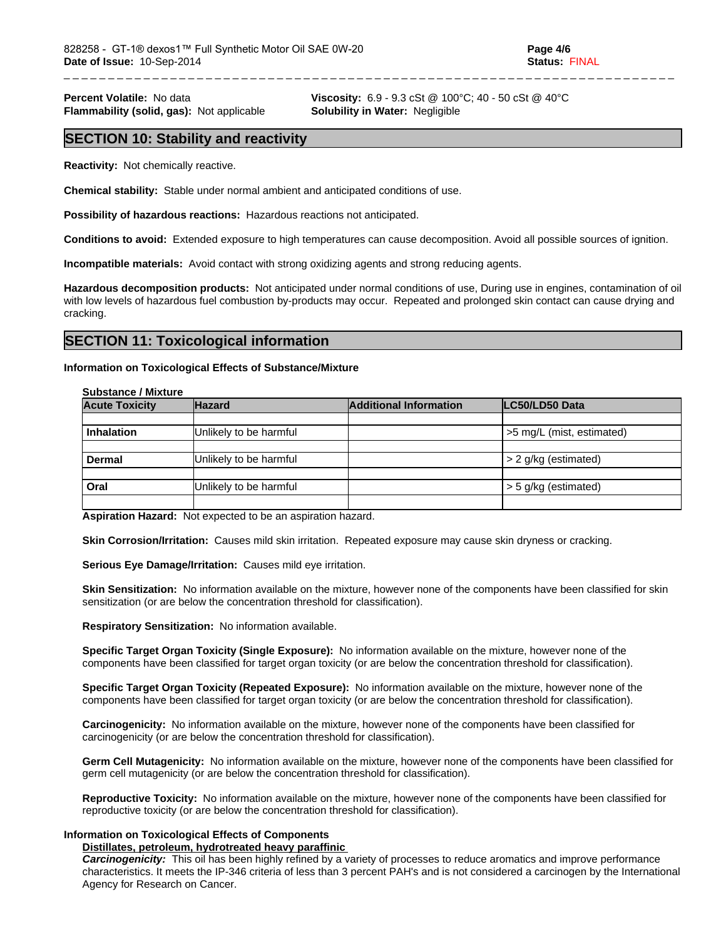**Flammability (solid, gas):** Not applicable **Solubility in Water:** Negligible

**Percent Volatile:** No data **Viscosity:** 6.9 - 9.3 cSt @ 100°C; 40 - 50 cSt @ 40°C

## **SECTION 10: Stability and reactivity**

**Reactivity:** Not chemically reactive.

**Chemical stability:** Stable under normal ambient and anticipated conditions of use.

**Possibility of hazardous reactions:** Hazardous reactions not anticipated.

**Conditions to avoid:** Extended exposure to high temperatures can cause decomposition. Avoid all possible sources of ignition.

**Incompatible materials:** Avoid contact with strong oxidizing agents and strong reducing agents.

**Hazardous decomposition products:** Not anticipated under normal conditions of use, During use in engines, contamination of oil with low levels of hazardous fuel combustion by-products may occur. Repeated and prolonged skin contact can cause drying and cracking.

## **SECTION 11: Toxicological information**

#### **Information on Toxicological Effects of Substance/Mixture**

#### **Substance / Mixture**

| <b>Acute Toxicity</b> | <b>Hazard</b>          | <b>Additional Information</b> | LC50/LD50 Data            |
|-----------------------|------------------------|-------------------------------|---------------------------|
|                       |                        |                               |                           |
| <b>Inhalation</b>     | Unlikely to be harmful |                               | >5 mg/L (mist, estimated) |
|                       |                        |                               |                           |
| <b>Dermal</b>         | Unlikely to be harmful |                               | $> 2$ g/kg (estimated)    |
| Oral                  | Unlikely to be harmful |                               | $>$ 5 g/kg (estimated)    |
|                       |                        |                               |                           |

**Aspiration Hazard:** Not expected to be an aspiration hazard.

**Skin Corrosion/Irritation:** Causes mild skin irritation. Repeated exposure may cause skin dryness or cracking.

**Serious Eye Damage/Irritation:** Causes mild eye irritation.

**Skin Sensitization:** No information available on the mixture, however none of the components have been classified for skin sensitization (or are below the concentration threshold for classification).

**Respiratory Sensitization:** No information available.

**Specific Target Organ Toxicity (Single Exposure):** No information available on the mixture, however none of the components have been classified for target organ toxicity (or are below the concentration threshold for classification).

**Specific Target Organ Toxicity (Repeated Exposure):** No information available on the mixture, however none of the components have been classified for target organ toxicity (or are below the concentration threshold for classification).

**Carcinogenicity:** No information available on the mixture, however none of the components have been classified for carcinogenicity (or are below the concentration threshold for classification).

**Germ Cell Mutagenicity:** No information available on the mixture, however none of the components have been classified for germ cell mutagenicity (or are below the concentration threshold for classification).

**Reproductive Toxicity:** No information available on the mixture, however none of the components have been classified for reproductive toxicity (or are below the concentration threshold for classification).

## **Information on Toxicological Effects of Components**

## **Distillates, petroleum, hydrotreated heavy paraffinic**

*Carcinogenicity:* This oil has been highly refined by a variety of processes to reduce aromatics and improve performance characteristics. It meets the IP-346 criteria of less than 3 percent PAH's and is not considered a carcinogen by the International Agency for Research on Cancer.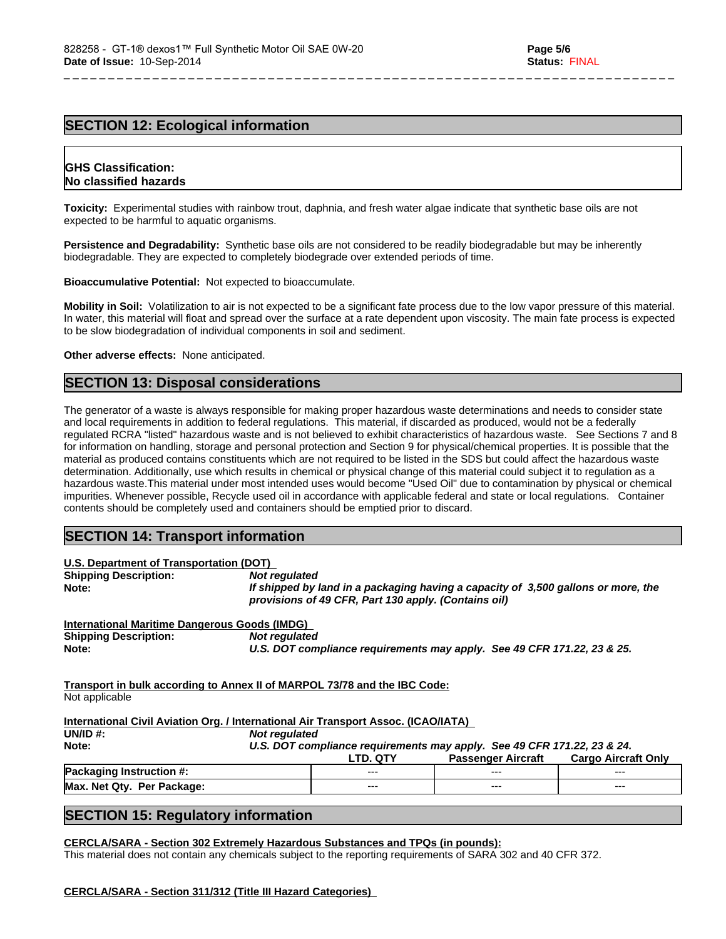# **SECTION 12: Ecological information**

## **GHS Classification: No classified hazards**

**Toxicity:** Experimental studies with rainbow trout, daphnia, and fresh water algae indicate that synthetic base oils are not expected to be harmful to aquatic organisms.

**Persistence and Degradability:** Synthetic base oils are not considered to be readily biodegradable but may be inherently biodegradable. They are expected to completely biodegrade over extended periods of time.

**Bioaccumulative Potential:** Not expected to bioaccumulate.

**Mobility in Soil:** Volatilization to air is not expected to be a significant fate process due to the low vapor pressure of this material. In water, this material will float and spread over the surface at a rate dependent upon viscosity. The main fate process is expected to be slow biodegradation of individual components in soil and sediment.

**Other adverse effects:** None anticipated.

## **SECTION 13: Disposal considerations**

The generator of a waste is always responsible for making proper hazardous waste determinations and needs to consider state and local requirements in addition to federal regulations. This material, if discarded as produced, would not be a federally regulated RCRA "listed" hazardous waste and is not believed to exhibit characteristics of hazardous waste. See Sections 7 and 8 for information on handling, storage and personal protection and Section 9 for physical/chemical properties. It is possible that the material as produced contains constituents which are not required to be listed in the SDS but could affect the hazardous waste determination. Additionally, use which results in chemical or physical change of this material could subject it to regulation as a hazardous waste.This material under most intended uses would become "Used Oil" due to contamination by physical or chemical impurities. Whenever possible, Recycle used oil in accordance with applicable federal and state or local regulations. Container contents should be completely used and containers should be emptied prior to discard.

## **SECTION 14: Transport information**

| U.S. Department of Transportation (DOT)                                                                |               |                                                      |                                                                                                      |                            |
|--------------------------------------------------------------------------------------------------------|---------------|------------------------------------------------------|------------------------------------------------------------------------------------------------------|----------------------------|
| <b>Shipping Description:</b>                                                                           | Not regulated |                                                      |                                                                                                      |                            |
| Note:                                                                                                  |               | provisions of 49 CFR, Part 130 apply. (Contains oil) | If shipped by land in a packaging having a capacity of 3,500 gallons or more, the                    |                            |
| <b>International Maritime Dangerous Goods (IMDG)</b>                                                   |               |                                                      |                                                                                                      |                            |
| <b>Shipping Description:</b>                                                                           | Not regulated |                                                      |                                                                                                      |                            |
| Note:                                                                                                  |               |                                                      | U.S. DOT compliance requirements may apply. See 49 CFR 171.22, 23 & 25.                              |                            |
| Not applicable                                                                                         |               |                                                      |                                                                                                      |                            |
|                                                                                                        |               |                                                      |                                                                                                      |                            |
|                                                                                                        |               |                                                      |                                                                                                      |                            |
| <u> International Civil Aviation Org. / International Air Transport Assoc. (ICAO/IATA)</u><br>UN/ID #: | Not regulated |                                                      |                                                                                                      |                            |
| Note:                                                                                                  |               | LTD. QTY                                             | U.S. DOT compliance requirements may apply. See 49 CFR 171.22, 23 & 24.<br><b>Passenger Aircraft</b> | <b>Cargo Aircraft Only</b> |
| Packaging Instruction #:                                                                               |               |                                                      |                                                                                                      |                            |

# **SECTION 15: Regulatory information**

**CERCLA/SARA - Section 302 Extremely Hazardous Substances and TPQs (in pounds):**

This material does not contain any chemicals subject to the reporting requirements of SARA 302 and 40 CFR 372.

#### **CERCLA/SARA - Section 311/312 (Title III Hazard Categories)**